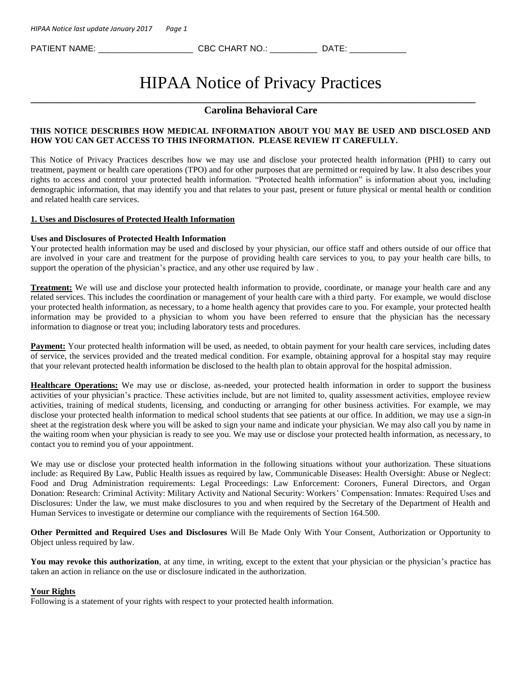PATIENT NAME: \_\_\_\_\_\_\_\_\_\_\_\_\_\_\_\_\_\_\_\_\_\_\_\_\_\_\_\_\_\_\_\_ CBC CHART NO.: \_\_\_\_\_\_\_\_\_\_\_\_\_\_\_ DATE: \_\_\_\_\_\_\_\_\_\_\_\_\_\_\_

# HIPAA Notice of Privacy Practices

## **Carolina Behavioral Care**

**\_\_\_\_\_\_\_\_\_\_\_\_\_\_\_\_\_\_\_\_\_\_\_\_\_\_\_\_\_\_\_\_\_\_\_\_\_\_\_\_\_\_\_\_\_\_\_\_\_\_\_\_\_\_\_\_\_\_\_\_\_\_\_\_\_\_\_\_\_\_\_\_\_\_\_\_\_\_\_\_\_\_\_\_\_\_\_**

### **THIS NOTICE DESCRIBES HOW MEDICAL INFORMATION ABOUT YOU MAY BE USED AND DISCLOSED AND HOW YOU CAN GET ACCESS TO THIS INFORMATION. PLEASE REVIEW IT CAREFULLY.**

This Notice of Privacy Practices describes how we may use and disclose your protected health information (PHI) to carry out treatment, payment or health care operations (TPO) and for other purposes that are permitted or required by law. It also describes your rights to access and control your protected health information. "Protected health information" is information about you, including demographic information, that may identify you and that relates to your past, present or future physical or mental health or condition and related health care services.

#### **1. Uses and Disclosures of Protected Health Information**

#### **Uses and Disclosures of Protected Health Information**

Your protected health information may be used and disclosed by your physician, our office staff and others outside of our office that are involved in your care and treatment for the purpose of providing health care services to you, to pay your health care bills, to support the operation of the physician's practice, and any other use required by law .

**Treatment:** We will use and disclose your protected health information to provide, coordinate, or manage your health care and any related services. This includes the coordination or management of your health care with a third party. For example, we would disclose your protected health information, as necessary, to a home health agency that provides care to you. For example, your protected health information may be provided to a physician to whom you have been referred to ensure that the physician has the necessary information to diagnose or treat you; including laboratory tests and procedures.

**Payment:** Your protected health information will be used, as needed, to obtain payment for your health care services, including dates of service, the services provided and the treated medical condition. For example, obtaining approval for a hospital stay may require that your relevant protected health information be disclosed to the health plan to obtain approval for the hospital admission.

**Healthcare Operations:** We may use or disclose, as-needed, your protected health information in order to support the business activities of your physician's practice. These activities include, but are not limited to, quality assessment activities, employee review activities, training of medical students, licensing, and conducting or arranging for other business activities. For example, we may disclose your protected health information to medical school students that see patients at our office. In addition, we may use a sign-in sheet at the registration desk where you will be asked to sign your name and indicate your physician. We may also call you by name in the waiting room when your physician is ready to see you. We may use or disclose your protected health information, as necessary, to contact you to remind you of your appointment.

We may use or disclose your protected health information in the following situations without your authorization. These situations include: as Required By Law, Public Health issues as required by law, Communicable Diseases: Health Oversight: Abuse or Neglect: Food and Drug Administration requirements: Legal Proceedings: Law Enforcement: Coroners, Funeral Directors, and Organ Donation: Research: Criminal Activity: Military Activity and National Security: Workers' Compensation: Inmates: Required Uses and Disclosures: Under the law, we must make disclosures to you and when required by the Secretary of the Department of Health and Human Services to investigate or determine our compliance with the requirements of Section 164.500.

**Other Permitted and Required Uses and Disclosures** Will Be Made Only With Your Consent, Authorization or Opportunity to Object unless required by law.

You may revoke this authorization, at any time, in writing, except to the extent that your physician or the physician's practice has taken an action in reliance on the use or disclosure indicated in the authorization.

#### **Your Rights**

Following is a statement of your rights with respect to your protected health information.